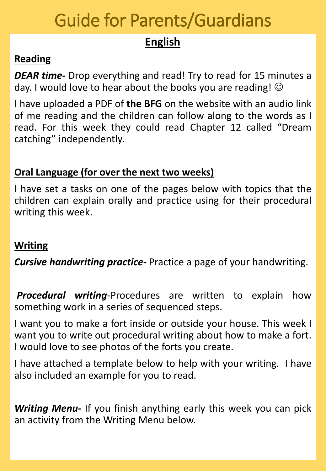# Guide for Parents/Guardians

# **English**

## **Reading**

*DEAR time-* Drop everything and read! Try to read for 15 minutes a day. I would love to hear about the books you are reading!  $\odot$ 

I have uploaded a PDF of **the BFG** on the website with an audio link of me reading and the children can follow along to the words as I read. For this week they could read Chapter 12 called "Dream catching" independently.

### **Oral Language (for over the next two weeks)**

I have set a tasks on one of the pages below with topics that the children can explain orally and practice using for their procedural writing this week.

## **Writing**

*Cursive handwriting practice-* Practice a page of your handwriting.

*Procedural writing*-Procedures are written to explain how something work in a series of sequenced steps.

I want you to make a fort inside or outside your house. This week I want you to write out procedural writing about how to make a fort. I would love to see photos of the forts you create.

I have attached a template below to help with your writing. I have also included an example for you to read.

*Writing Menu-* If you finish anything early this week you can pick an activity from the Writing Menu below.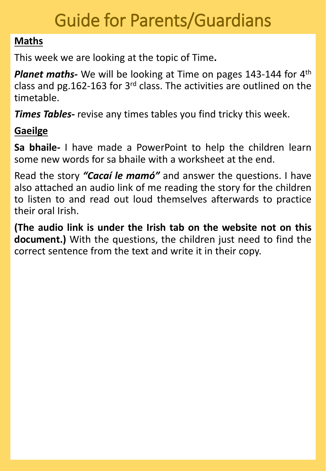# Guide for Parents/Guardians

## **Maths**

This week we are looking at the topic of Time**.**

Planet maths- We will be looking at Time on pages 143-144 for 4<sup>th</sup> class and pg.162-163 for 3<sup>rd</sup> class. The activities are outlined on the timetable.

*Times Tables-* revise any times tables you find tricky this week.

## **Gaeilge**

**Sa bhaile***-* I have made a PowerPoint to help the children learn some new words for sa bhaile with a worksheet at the end.

Read the story *"Cacaí le mamó"* and answer the questions. I have also attached an audio link of me reading the story for the children to listen to and read out loud themselves afterwards to practice their oral Irish.

**(The audio link is under the Irish tab on the website not on this document.)** With the questions, the children just need to find the correct sentence from the text and write it in their copy.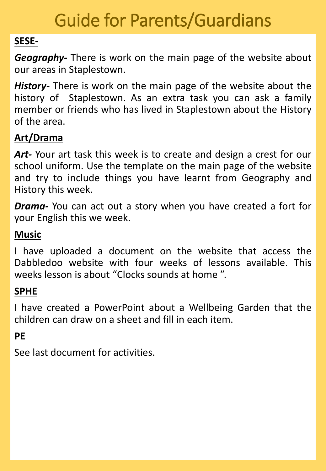# Guide for Parents/Guardians

## **SESE-**

*Geography-* There is work on the main page of the website about our areas in Staplestown.

*History-* There is work on the main page of the website about the history of Staplestown. As an extra task you can ask a family member or friends who has lived in Staplestown about the History of the area.

## **Art/Drama**

Art- Your art task this week is to create and design a crest for our school uniform. Use the template on the main page of the website and try to include things you have learnt from Geography and History this week.

*Drama-* You can act out a story when you have created a fort for your English this we week.

## **Music**

I have uploaded a document on the website that access the Dabbledoo website with four weeks of lessons available. This weeks lesson is about "Clocks sounds at home ".

# **SPHE**

I have created a PowerPoint about a Wellbeing Garden that the children can draw on a sheet and fill in each item.

# **PE**

See last document for activities.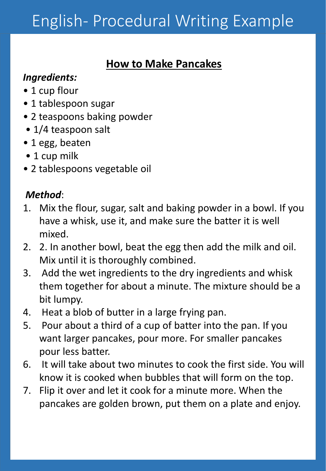# English- Procedural Writing Example

# **How to Make Pancakes**

## *Ingredients:*

- 1 cup flour
- 1 tablespoon sugar
- 2 teaspoons baking powder
- 1/4 teaspoon salt
- 1 egg, beaten
- 1 cup milk
- 2 tablespoons vegetable oil

# *Method*:

- 1. Mix the flour, sugar, salt and baking powder in a bowl. If you have a whisk, use it, and make sure the batter it is well mixed.
- 2. 2. In another bowl, beat the egg then add the milk and oil. Mix until it is thoroughly combined.
- 3. Add the wet ingredients to the dry ingredients and whisk them together for about a minute. The mixture should be a bit lumpy.
- 4. Heat a blob of butter in a large frying pan.
- 5. Pour about a third of a cup of batter into the pan. If you want larger pancakes, pour more. For smaller pancakes pour less batter.
- 6. It will take about two minutes to cook the first side. You will know it is cooked when bubbles that will form on the top.
- 7. Flip it over and let it cook for a minute more. When the pancakes are golden brown, put them on a plate and enjoy.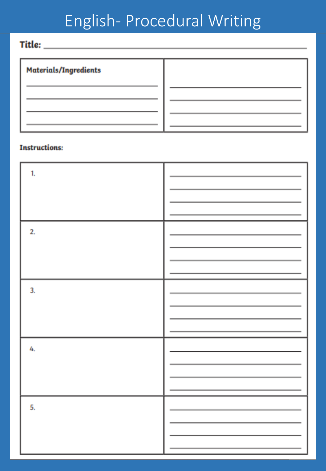# English- Procedural Writing

Title: \_\_\_\_\_\_\_

| <b>Materials/Ingredients</b> |  |
|------------------------------|--|
|                              |  |
|                              |  |
|                              |  |
|                              |  |

#### **Instructions:**

| $\mathbf{1}$ |  |
|--------------|--|
| 2.           |  |
| 3.           |  |
| 4.           |  |
| 5.           |  |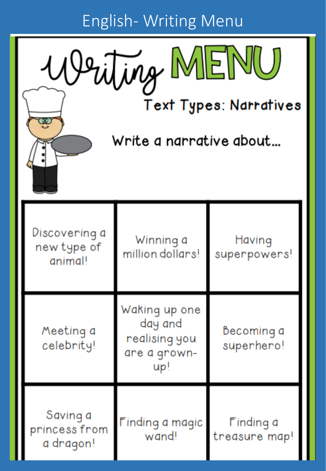English- Writing Menu



50

**Text Types: Narratives** 

Write a narrative about...

| Discovering a<br>new type of<br>animal! | Winning a<br>million dollars!                                    | Having<br>superpowers!     |
|-----------------------------------------|------------------------------------------------------------------|----------------------------|
| Meeting a<br>celebrity!                 | Waking up one<br>day and<br>realising you<br>are a grown-<br>Up! | Becoming a<br>superhero!   |
| Saving a<br>princess from<br>a dragon!  | Finding a magic<br>wand!                                         | Finding a<br>treasure map! |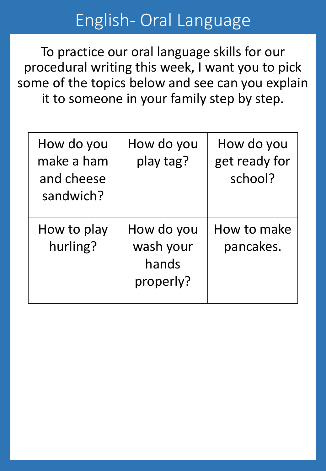# English- Oral Language

To practice our oral language skills for our procedural writing this week, I want you to pick some of the topics below and see can you explain it to someone in your family step by step.

| How do you<br>make a ham<br>and cheese<br>sandwich? | How do you<br>play tag?                       | How do you<br>get ready for<br>school? |
|-----------------------------------------------------|-----------------------------------------------|----------------------------------------|
| How to play<br>hurling?                             | How do you<br>wash your<br>hands<br>properly? | How to make<br>pancakes.               |